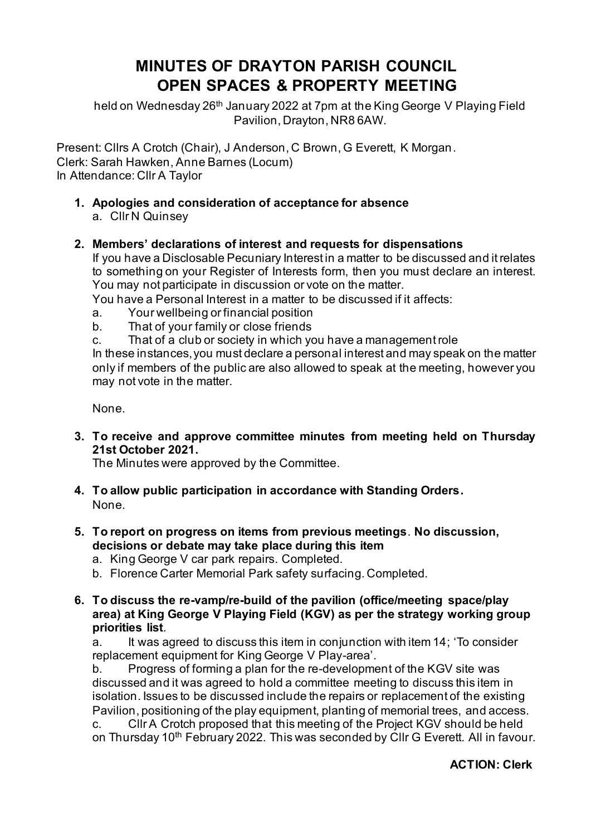# **MINUTES OF DRAYTON PARISH COUNCIL OPEN SPACES & PROPERTY MEETING**

held on Wednesday 26<sup>th</sup> January 2022 at 7pm at the King George V Playing Field Pavilion, Drayton, NR8 6AW.

Present: Cllrs A Crotch (Chair), J Anderson, C Brown, G Everett, K Morgan. Clerk: Sarah Hawken, Anne Barnes (Locum) In Attendance: Cllr A Taylor

**1. Apologies and consideration of acceptance for absence** a. Cllr N Quinsey

## **2. Members' declarations of interest and requests for dispensations**

If you have a Disclosable Pecuniary Interest in a matter to be discussed and it relates to something on your Register of Interests form, then you must declare an interest. You may not participate in discussion or vote on the matter.

You have a Personal Interest in a matter to be discussed if it affects:

- a. Your wellbeing or financial position
- b. That of your family or close friends
- c. That of a club or society in which you have a management role

In these instances, you must declare a personal interest and may speak on the matter only if members of the public are also allowed to speak at the meeting, however you may not vote in the matter.

None.

**3. To receive and approve committee minutes from meeting held on Thursday 21st October 2021.** 

The Minutes were approved by the Committee.

- **4. To allow public participation in accordance with Standing Orders.** None.
- **5. To report on progress on items from previous meetings**. **No discussion, decisions or debate may take place during this item**
	- a. King George V car park repairs. Completed.
	- b. Florence Carter Memorial Park safety surfacing. Completed.
- **6. To discuss the re-vamp/re-build of the pavilion (office/meeting space/play area) at King George V Playing Field (KGV) as per the strategy working group priorities list**.

a. It was agreed to discuss this item in conjunction with item 14; 'To consider replacement equipment for King George V Play-area'.

b. Progress of forming a plan for the re-development of the KGV site was discussed and it was agreed to hold a committee meeting to discuss this item in isolation. Issues to be discussed include the repairs or replacement of the existing Pavilion, positioning of the play equipment, planting of memorial trees, and access.

c. Cllr A Crotch proposed that this meeting of the Project KGV should be held on Thursday 10<sup>th</sup> February 2022. This was seconded by CIIr G Everett. All in favour.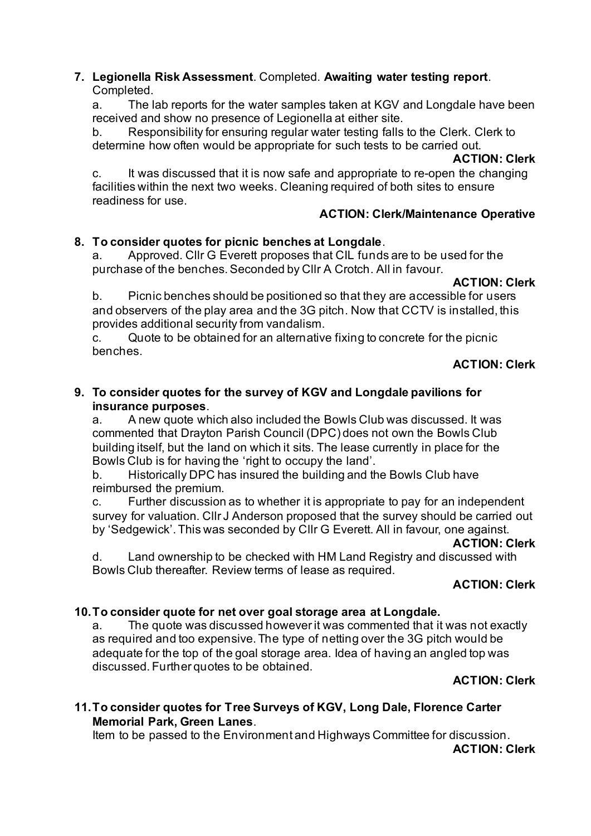## **7. Legionella Risk Assessment**. Completed. **Awaiting water testing report**. Completed.

a. The lab reports for the water samples taken at KGV and Longdale have been received and show no presence of Legionella at either site.

b. Responsibility for ensuring regular water testing falls to the Clerk. Clerk to determine how often would be appropriate for such tests to be carried out.

#### **ACTION: Clerk**

c. It was discussed that it is now safe and appropriate to re-open the changing facilities within the next two weeks. Cleaning required of both sites to ensure readiness for use.

## **ACTION: Clerk/Maintenance Operative**

# **8. To consider quotes for picnic benches at Longdale**.

a. Approved. Cllr G Everett proposes that CIL funds are to be used for the purchase of the benches. Seconded by Cllr A Crotch. All in favour.

## **ACTION: Clerk**

b. Picnic benches should be positioned so that they are accessible for users and observers of the play area and the 3G pitch. Now that CCTV is installed, this provides additional security from vandalism.

c. Quote to be obtained for an alternative fixing to concrete for the picnic benches.

# **ACTION: Clerk**

## **9. To consider quotes for the survey of KGV and Longdale pavilions for insurance purposes**.

a. A new quote which also included the Bowls Club was discussed. It was commented that Drayton Parish Council (DPC) does not own the Bowls Club building itself, but the land on which it sits. The lease currently in place for the Bowls Club is for having the 'right to occupy the land'.

b. Historically DPC has insured the building and the Bowls Club have reimbursed the premium.

c. Further discussion as to whether it is appropriate to pay for an independent survey for valuation. Cllr J Anderson proposed that the survey should be carried out by 'Sedgewick'. This was seconded by Cllr G Everett. All in favour, one against.

#### **ACTION: Clerk**

d. Land ownership to be checked with HM Land Registry and discussed with Bowls Club thereafter. Review terms of lease as required.

# **ACTION: Clerk**

#### **10.To consider quote for net over goal storage area at Longdale.**

a. The quote was discussed however it was commented that it was not exactly as required and too expensive. The type of netting over the 3G pitch would be adequate for the top of the goal storage area. Idea of having an angled top was discussed. Further quotes to be obtained.

#### **ACTION: Clerk**

# **11.To consider quotes for Tree Surveys of KGV, Long Dale, Florence Carter Memorial Park, Green Lanes**.

Item to be passed to the Environment and Highways Committee for discussion.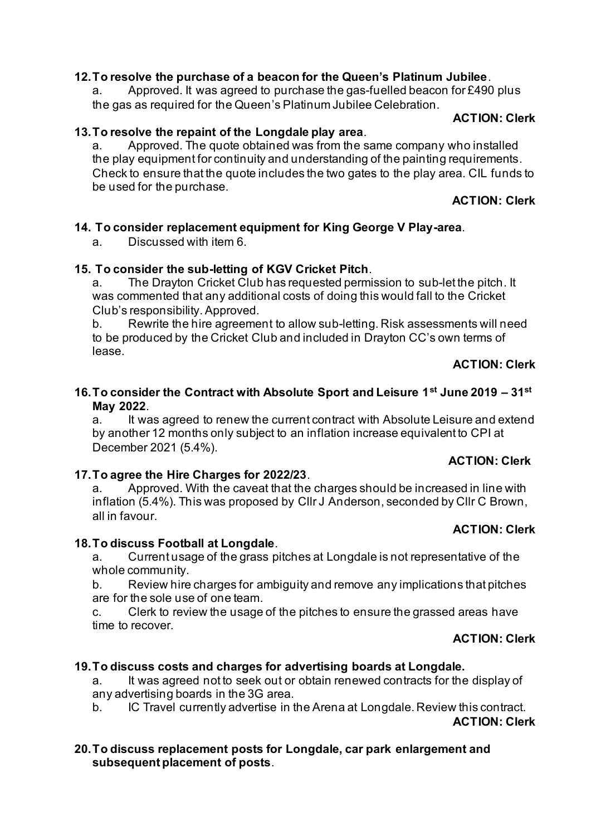# **12.To resolve the purchase of a beacon for the Queen's Platinum Jubilee**.

a. Approved. It was agreed to purchase the gas-fuelled beacon for £490 plus the gas as required for the Queen's Platinum Jubilee Celebration.

#### **ACTION: Clerk**

#### **13.To resolve the repaint of the Longdale play area**.

a. Approved. The quote obtained was from the same company who installed the play equipment for continuity and understanding of the painting requirements. Check to ensure that the quote includes the two gates to the play area. CIL funds to be used for the purchase.

**ACTION: Clerk**

#### **14. To consider replacement equipment for King George V Play-area**.

a. Discussed with item 6.

#### **15. To consider the sub-letting of KGV Cricket Pitch**.

a. The Drayton Cricket Club has requested permission to sub-let the pitch. It was commented that any additional costs of doing this would fall to the Cricket Club's responsibility.Approved.

b. Rewrite the hire agreement to allow sub-letting. Risk assessments will need to be produced by the Cricket Club and included in Drayton CC's own terms of lease.

# **ACTION: Clerk**

## **16.To consider the Contract with Absolute Sport and Leisure 1st June 2019 – 31st May 2022**.

a. It was agreed to renew the current contract with Absolute Leisure and extend by another 12 months only subject to an inflation increase equivalent to CPI at December 2021 (5.4%).

#### **ACTION: Clerk**

#### **17.To agree the Hire Charges for 2022/23**.

a. Approved. With the caveat that the charges should be increased in line with inflation (5.4%). This was proposed by Cllr J Anderson, seconded by Cllr C Brown, all in favour.

#### **ACTION: Clerk**

#### **18.To discuss Football at Longdale**.

a. Current usage of the grass pitches at Longdale is not representative of the whole community.

b. Review hire charges for ambiguity and remove any implications that pitches are for the sole use of one team.

c. Clerk to review the usage of the pitches to ensure the grassed areas have time to recover.

#### **ACTION: Clerk**

#### **19.To discuss costs and charges for advertising boards at Longdale.**

a. It was agreed not to seek out or obtain renewed contracts for the display of any advertising boards in the 3G area.

b. IC Travel currently advertise in the Arena at Longdale. Review this contract.

**ACTION: Clerk**

#### **20.To discuss replacement posts for Longdale, car park enlargement and subsequent placement of posts**.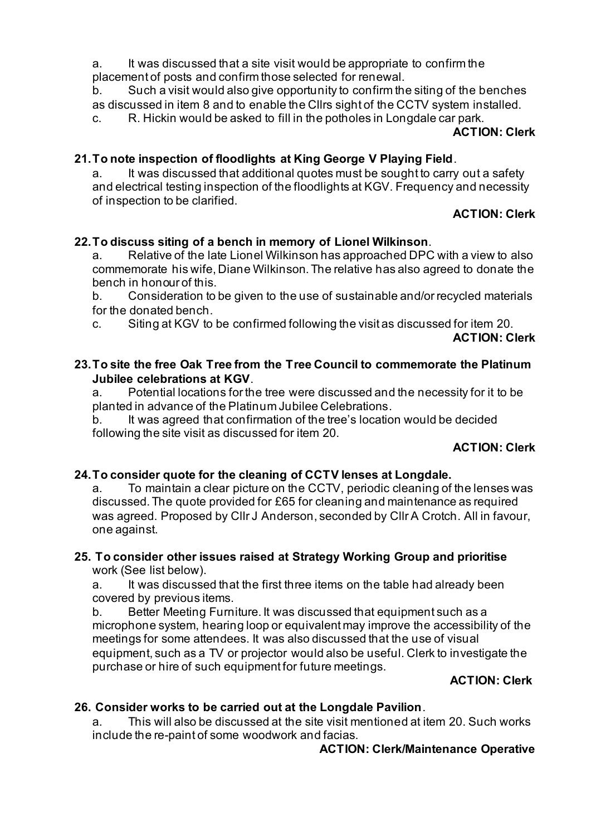a. It was discussed that a site visit would be appropriate to confirm the placement of posts and confirm those selected for renewal.

b. Such a visit would also give opportunity to confirm the siting of the benches as discussed in item 8 and to enable the Cllrs sight of the CCTV system installed. c. R. Hickin would be asked to fill in the potholes in Longdale car park.

#### **ACTION: Clerk**

## **21.To note inspection of floodlights at King George V Playing Field**.

a. It was discussed that additional quotes must be sought to carry out a safety and electrical testing inspection of the floodlights at KGV. Frequency and necessity of inspection to be clarified.

# **ACTION: Clerk**

# **22.To discuss siting of a bench in memory of Lionel Wilkinson**.

a. Relative of the late Lionel Wilkinson has approached DPC with a view to also commemorate his wife, Diane Wilkinson. The relative has also agreed to donate the bench in honour of this.

b. Consideration to be given to the use of sustainable and/or recycled materials for the donated bench.

c. Siting at KGV to be confirmed following the visit as discussed for item 20.

## **ACTION: Clerk**

### **23.To site the free Oak Tree from the Tree Council to commemorate the Platinum Jubilee celebrations at KGV**.

a. Potential locations for the tree were discussed and the necessity for it to be planted in advance of the Platinum Jubilee Celebrations.

b. It was agreed that confirmation of the tree's location would be decided following the site visit as discussed for item 20.

#### **ACTION: Clerk**

# **24.To consider quote for the cleaning of CCTV lenses at Longdale.**

a. To maintain a clear picture on the CCTV, periodic cleaning of the lenses was discussed. The quote provided for £65 for cleaning and maintenance as required was agreed. Proposed by Cllr J Anderson, seconded by Cllr A Crotch. All in favour, one against.

#### **25. To consider other issues raised at Strategy Working Group and prioritise** work (See list below).

a. It was discussed that the first three items on the table had already been covered by previous items.

b. Better Meeting Furniture. It was discussed that equipment such as a microphone system, hearing loop or equivalent may improve the accessibility of the meetings for some attendees. It was also discussed that the use of visual equipment, such as a TV or projector would also be useful. Clerk to investigate the purchase or hire of such equipment for future meetings.

#### **ACTION: Clerk**

# **26. Consider works to be carried out at the Longdale Pavilion**.

a. This will also be discussed at the site visit mentioned at item 20. Such works include the re-paint of some woodwork and facias.

#### **ACTION: Clerk/Maintenance Operative**